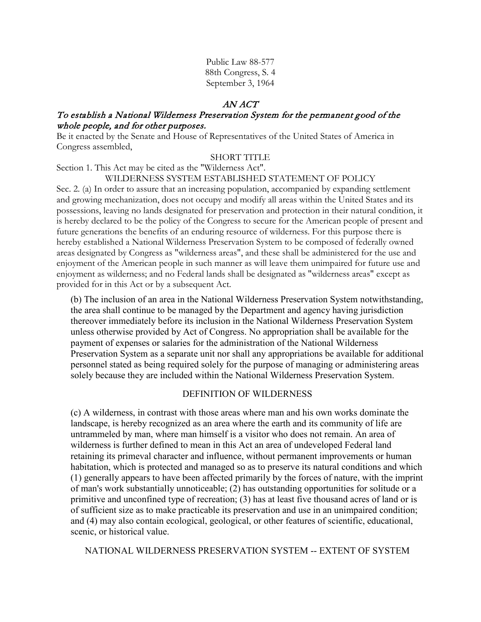Public Law 88-577 88th Congress, S. 4 September 3, 1964

#### AN ACT

## To establish a National Wilderness Preservation System for the permanent good of the whole people, and for other purposes.

Be it enacted by the Senate and House of Representatives of the United States of America in Congress assembled,

## SHORT TITLE

Section 1. This Act may be cited as the "Wilderness Act".

#### WILDERNESS SYSTEM ESTABLISHED STATEMENT OF POLICY

Sec. 2. (a) In order to assure that an increasing population, accompanied by expanding settlement and growing mechanization, does not occupy and modify all areas within the United States and its possessions, leaving no lands designated for preservation and protection in their natural condition, it is hereby declared to be the policy of the Congress to secure for the American people of present and future generations the benefits of an enduring resource of wilderness. For this purpose there is hereby established a National Wilderness Preservation System to be composed of federally owned areas designated by Congress as "wilderness areas", and these shall be administered for the use and enjoyment of the American people in such manner as will leave them unimpaired for future use and enjoyment as wilderness; and no Federal lands shall be designated as "wilderness areas" except as provided for in this Act or by a subsequent Act.

(b) The inclusion of an area in the National Wilderness Preservation System notwithstanding, the area shall continue to be managed by the Department and agency having jurisdiction thereover immediately before its inclusion in the National Wilderness Preservation System unless otherwise provided by Act of Congress. No appropriation shall be available for the payment of expenses or salaries for the administration of the National Wilderness Preservation System as a separate unit nor shall any appropriations be available for additional personnel stated as being required solely for the purpose of managing or administering areas solely because they are included within the National Wilderness Preservation System.

#### DEFINITION OF WILDERNESS

(c) A wilderness, in contrast with those areas where man and his own works dominate the landscape, is hereby recognized as an area where the earth and its community of life are untrammeled by man, where man himself is a visitor who does not remain. An area of wilderness is further defined to mean in this Act an area of undeveloped Federal land retaining its primeval character and influence, without permanent improvements or human habitation, which is protected and managed so as to preserve its natural conditions and which (1) generally appears to have been affected primarily by the forces of nature, with the imprint of man's work substantially unnoticeable; (2) has outstanding opportunities for solitude or a primitive and unconfined type of recreation; (3) has at least five thousand acres of land or is of sufficient size as to make practicable its preservation and use in an unimpaired condition; and (4) may also contain ecological, geological, or other features of scientific, educational, scenic, or historical value.

NATIONAL WILDERNESS PRESERVATION SYSTEM -- EXTENT OF SYSTEM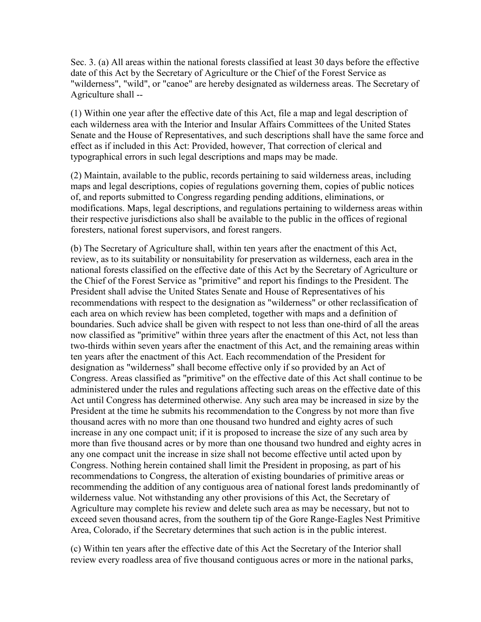Sec. 3. (a) All areas within the national forests classified at least 30 days before the effective date of this Act by the Secretary of Agriculture or the Chief of the Forest Service as "wilderness", "wild", or "canoe" are hereby designated as wilderness areas. The Secretary of Agriculture shall --

(1) Within one year after the effective date of this Act, file a map and legal description of each wilderness area with the Interior and Insular Affairs Committees of the United States Senate and the House of Representatives, and such descriptions shall have the same force and effect as if included in this Act: Provided, however, That correction of clerical and typographical errors in such legal descriptions and maps may be made.

(2) Maintain, available to the public, records pertaining to said wilderness areas, including maps and legal descriptions, copies of regulations governing them, copies of public notices of, and reports submitted to Congress regarding pending additions, eliminations, or modifications. Maps, legal descriptions, and regulations pertaining to wilderness areas within their respective jurisdictions also shall be available to the public in the offices of regional foresters, national forest supervisors, and forest rangers.

(b) The Secretary of Agriculture shall, within ten years after the enactment of this Act, review, as to its suitability or nonsuitability for preservation as wilderness, each area in the national forests classified on the effective date of this Act by the Secretary of Agriculture or the Chief of the Forest Service as "primitive" and report his findings to the President. The President shall advise the United States Senate and House of Representatives of his recommendations with respect to the designation as "wilderness" or other reclassification of each area on which review has been completed, together with maps and a definition of boundaries. Such advice shall be given with respect to not less than one-third of all the areas now classified as "primitive" within three years after the enactment of this Act, not less than two-thirds within seven years after the enactment of this Act, and the remaining areas within ten years after the enactment of this Act. Each recommendation of the President for designation as "wilderness" shall become effective only if so provided by an Act of Congress. Areas classified as "primitive" on the effective date of this Act shall continue to be administered under the rules and regulations affecting such areas on the effective date of this Act until Congress has determined otherwise. Any such area may be increased in size by the President at the time he submits his recommendation to the Congress by not more than five thousand acres with no more than one thousand two hundred and eighty acres of such increase in any one compact unit; if it is proposed to increase the size of any such area by more than five thousand acres or by more than one thousand two hundred and eighty acres in any one compact unit the increase in size shall not become effective until acted upon by Congress. Nothing herein contained shall limit the President in proposing, as part of his recommendations to Congress, the alteration of existing boundaries of primitive areas or recommending the addition of any contiguous area of national forest lands predominantly of wilderness value. Not withstanding any other provisions of this Act, the Secretary of Agriculture may complete his review and delete such area as may be necessary, but not to exceed seven thousand acres, from the southern tip of the Gore Range-Eagles Nest Primitive Area, Colorado, if the Secretary determines that such action is in the public interest.

(c) Within ten years after the effective date of this Act the Secretary of the Interior shall review every roadless area of five thousand contiguous acres or more in the national parks,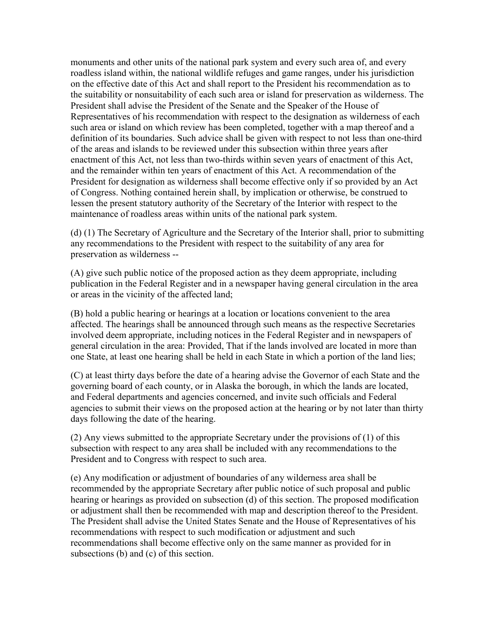monuments and other units of the national park system and every such area of, and every roadless island within, the national wildlife refuges and game ranges, under his jurisdiction on the effective date of this Act and shall report to the President his recommendation as to the suitability or nonsuitability of each such area or island for preservation as wilderness. The President shall advise the President of the Senate and the Speaker of the House of Representatives of his recommendation with respect to the designation as wilderness of each such area or island on which review has been completed, together with a map thereof and a definition of its boundaries. Such advice shall be given with respect to not less than one-third of the areas and islands to be reviewed under this subsection within three years after enactment of this Act, not less than two-thirds within seven years of enactment of this Act, and the remainder within ten years of enactment of this Act. A recommendation of the President for designation as wilderness shall become effective only if so provided by an Act of Congress. Nothing contained herein shall, by implication or otherwise, be construed to lessen the present statutory authority of the Secretary of the Interior with respect to the maintenance of roadless areas within units of the national park system.

(d) (1) The Secretary of Agriculture and the Secretary of the Interior shall, prior to submitting any recommendations to the President with respect to the suitability of any area for preservation as wilderness --

(A) give such public notice of the proposed action as they deem appropriate, including publication in the Federal Register and in a newspaper having general circulation in the area or areas in the vicinity of the affected land;

(B) hold a public hearing or hearings at a location or locations convenient to the area affected. The hearings shall be announced through such means as the respective Secretaries involved deem appropriate, including notices in the Federal Register and in newspapers of general circulation in the area: Provided, That if the lands involved are located in more than one State, at least one hearing shall be held in each State in which a portion of the land lies;

(C) at least thirty days before the date of a hearing advise the Governor of each State and the governing board of each county, or in Alaska the borough, in which the lands are located, and Federal departments and agencies concerned, and invite such officials and Federal agencies to submit their views on the proposed action at the hearing or by not later than thirty days following the date of the hearing.

(2) Any views submitted to the appropriate Secretary under the provisions of (1) of this subsection with respect to any area shall be included with any recommendations to the President and to Congress with respect to such area.

(e) Any modification or adjustment of boundaries of any wilderness area shall be recommended by the appropriate Secretary after public notice of such proposal and public hearing or hearings as provided on subsection (d) of this section. The proposed modification or adjustment shall then be recommended with map and description thereof to the President. The President shall advise the United States Senate and the House of Representatives of his recommendations with respect to such modification or adjustment and such recommendations shall become effective only on the same manner as provided for in subsections (b) and (c) of this section.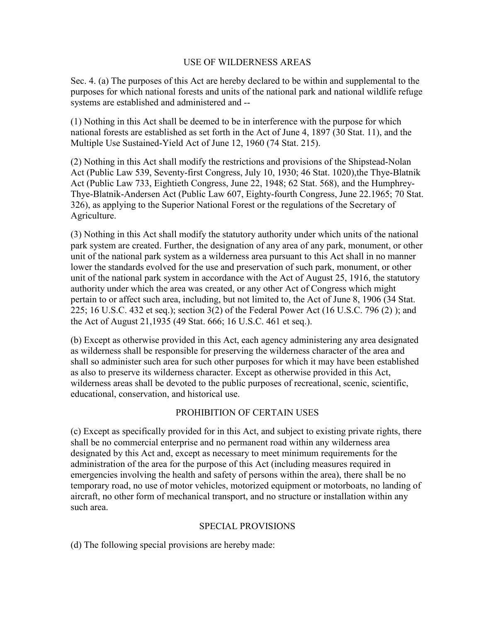#### USE OF WILDERNESS AREAS

Sec. 4. (a) The purposes of this Act are hereby declared to be within and supplemental to the purposes for which national forests and units of the national park and national wildlife refuge systems are established and administered and --

(1) Nothing in this Act shall be deemed to be in interference with the purpose for which national forests are established as set forth in the Act of June 4, 1897 (30 Stat. 11), and the Multiple Use Sustained-Yield Act of June 12, 1960 (74 Stat. 215).

(2) Nothing in this Act shall modify the restrictions and provisions of the Shipstead-Nolan Act (Public Law 539, Seventy-first Congress, July 10, 1930; 46 Stat. 1020),the Thye-Blatnik Act (Public Law 733, Eightieth Congress, June 22, 1948; 62 Stat. 568), and the Humphrey-Thye-Blatnik-Andersen Act (Public Law 607, Eighty-fourth Congress, June 22.1965; 70 Stat. 326), as applying to the Superior National Forest or the regulations of the Secretary of Agriculture.

(3) Nothing in this Act shall modify the statutory authority under which units of the national park system are created. Further, the designation of any area of any park, monument, or other unit of the national park system as a wilderness area pursuant to this Act shall in no manner lower the standards evolved for the use and preservation of such park, monument, or other unit of the national park system in accordance with the Act of August 25, 1916, the statutory authority under which the area was created, or any other Act of Congress which might pertain to or affect such area, including, but not limited to, the Act of June 8, 1906 (34 Stat. 225; 16 U.S.C. 432 et seq.); section 3(2) of the Federal Power Act (16 U.S.C. 796 (2) ); and the Act of August 21,1935 (49 Stat. 666; 16 U.S.C. 461 et seq.).

(b) Except as otherwise provided in this Act, each agency administering any area designated as wilderness shall be responsible for preserving the wilderness character of the area and shall so administer such area for such other purposes for which it may have been established as also to preserve its wilderness character. Except as otherwise provided in this Act, wilderness areas shall be devoted to the public purposes of recreational, scenic, scientific, educational, conservation, and historical use.

#### PROHIBITION OF CERTAIN USES

(c) Except as specifically provided for in this Act, and subject to existing private rights, there shall be no commercial enterprise and no permanent road within any wilderness area designated by this Act and, except as necessary to meet minimum requirements for the administration of the area for the purpose of this Act (including measures required in emergencies involving the health and safety of persons within the area), there shall be no temporary road, no use of motor vehicles, motorized equipment or motorboats, no landing of aircraft, no other form of mechanical transport, and no structure or installation within any such area.

#### SPECIAL PROVISIONS

(d) The following special provisions are hereby made: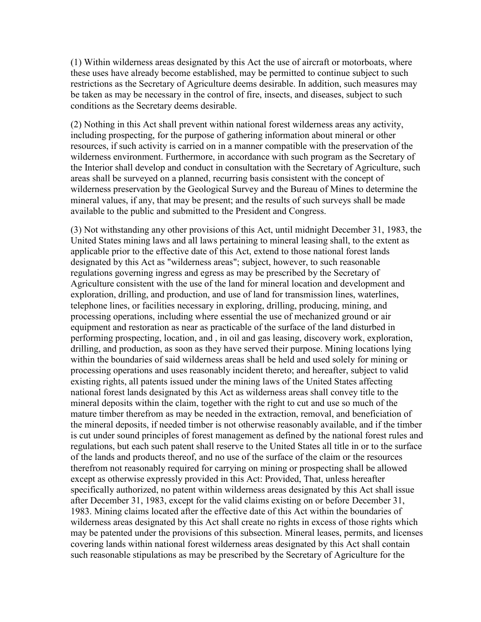(1) Within wilderness areas designated by this Act the use of aircraft or motorboats, where these uses have already become established, may be permitted to continue subject to such restrictions as the Secretary of Agriculture deems desirable. In addition, such measures may be taken as may be necessary in the control of fire, insects, and diseases, subject to such conditions as the Secretary deems desirable.

(2) Nothing in this Act shall prevent within national forest wilderness areas any activity, including prospecting, for the purpose of gathering information about mineral or other resources, if such activity is carried on in a manner compatible with the preservation of the wilderness environment. Furthermore, in accordance with such program as the Secretary of the Interior shall develop and conduct in consultation with the Secretary of Agriculture, such areas shall be surveyed on a planned, recurring basis consistent with the concept of wilderness preservation by the Geological Survey and the Bureau of Mines to determine the mineral values, if any, that may be present; and the results of such surveys shall be made available to the public and submitted to the President and Congress.

(3) Not withstanding any other provisions of this Act, until midnight December 31, 1983, the United States mining laws and all laws pertaining to mineral leasing shall, to the extent as applicable prior to the effective date of this Act, extend to those national forest lands designated by this Act as "wilderness areas"; subject, however, to such reasonable regulations governing ingress and egress as may be prescribed by the Secretary of Agriculture consistent with the use of the land for mineral location and development and exploration, drilling, and production, and use of land for transmission lines, waterlines, telephone lines, or facilities necessary in exploring, drilling, producing, mining, and processing operations, including where essential the use of mechanized ground or air equipment and restoration as near as practicable of the surface of the land disturbed in performing prospecting, location, and , in oil and gas leasing, discovery work, exploration, drilling, and production, as soon as they have served their purpose. Mining locations lying within the boundaries of said wilderness areas shall be held and used solely for mining or processing operations and uses reasonably incident thereto; and hereafter, subject to valid existing rights, all patents issued under the mining laws of the United States affecting national forest lands designated by this Act as wilderness areas shall convey title to the mineral deposits within the claim, together with the right to cut and use so much of the mature timber therefrom as may be needed in the extraction, removal, and beneficiation of the mineral deposits, if needed timber is not otherwise reasonably available, and if the timber is cut under sound principles of forest management as defined by the national forest rules and regulations, but each such patent shall reserve to the United States all title in or to the surface of the lands and products thereof, and no use of the surface of the claim or the resources therefrom not reasonably required for carrying on mining or prospecting shall be allowed except as otherwise expressly provided in this Act: Provided, That, unless hereafter specifically authorized, no patent within wilderness areas designated by this Act shall issue after December 31, 1983, except for the valid claims existing on or before December 31, 1983. Mining claims located after the effective date of this Act within the boundaries of wilderness areas designated by this Act shall create no rights in excess of those rights which may be patented under the provisions of this subsection. Mineral leases, permits, and licenses covering lands within national forest wilderness areas designated by this Act shall contain such reasonable stipulations as may be prescribed by the Secretary of Agriculture for the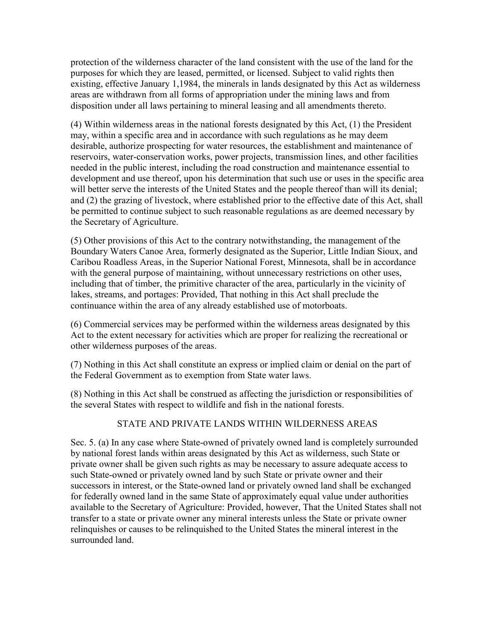protection of the wilderness character of the land consistent with the use of the land for the purposes for which they are leased, permitted, or licensed. Subject to valid rights then existing, effective January 1,1984, the minerals in lands designated by this Act as wilderness areas are withdrawn from all forms of appropriation under the mining laws and from disposition under all laws pertaining to mineral leasing and all amendments thereto.

(4) Within wilderness areas in the national forests designated by this Act, (1) the President may, within a specific area and in accordance with such regulations as he may deem desirable, authorize prospecting for water resources, the establishment and maintenance of reservoirs, water-conservation works, power projects, transmission lines, and other facilities needed in the public interest, including the road construction and maintenance essential to development and use thereof, upon his determination that such use or uses in the specific area will better serve the interests of the United States and the people thereof than will its denial; and (2) the grazing of livestock, where established prior to the effective date of this Act, shall be permitted to continue subject to such reasonable regulations as are deemed necessary by the Secretary of Agriculture.

(5) Other provisions of this Act to the contrary notwithstanding, the management of the Boundary Waters Canoe Area, formerly designated as the Superior, Little Indian Sioux, and Caribou Roadless Areas, in the Superior National Forest, Minnesota, shall be in accordance with the general purpose of maintaining, without unnecessary restrictions on other uses, including that of timber, the primitive character of the area, particularly in the vicinity of lakes, streams, and portages: Provided, That nothing in this Act shall preclude the continuance within the area of any already established use of motorboats.

(6) Commercial services may be performed within the wilderness areas designated by this Act to the extent necessary for activities which are proper for realizing the recreational or other wilderness purposes of the areas.

(7) Nothing in this Act shall constitute an express or implied claim or denial on the part of the Federal Government as to exemption from State water laws.

(8) Nothing in this Act shall be construed as affecting the jurisdiction or responsibilities of the several States with respect to wildlife and fish in the national forests.

# STATE AND PRIVATE LANDS WITHIN WILDERNESS AREAS

Sec. 5. (a) In any case where State-owned of privately owned land is completely surrounded by national forest lands within areas designated by this Act as wilderness, such State or private owner shall be given such rights as may be necessary to assure adequate access to such State-owned or privately owned land by such State or private owner and their successors in interest, or the State-owned land or privately owned land shall be exchanged for federally owned land in the same State of approximately equal value under authorities available to the Secretary of Agriculture: Provided, however, That the United States shall not transfer to a state or private owner any mineral interests unless the State or private owner relinquishes or causes to be relinquished to the United States the mineral interest in the surrounded land.